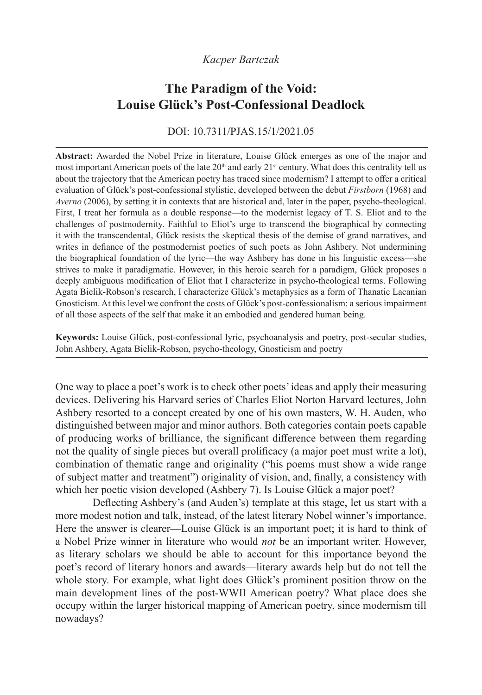### *Kacper Bartczak*

# **The Paradigm of the Void: Louise Glück's Post-Confessional Deadlock**

### DOI: 10.7311/PJAS.15/1/2021.05

**Abstract:** Awarded the Nobel Prize in literature, Louise Glück emerges as one of the major and most important American poets of the late  $20<sup>th</sup>$  and early  $21<sup>st</sup>$  century. What does this centrality tell us about the trajectory that the American poetry has traced since modernism? I attempt to offer a critical evaluation of Glück's post-confessional stylistic, developed between the debut *Firstborn* (1968) and *Averno* (2006), by setting it in contexts that are historical and, later in the paper, psycho-theological. First, I treat her formula as a double response—to the modernist legacy of T. S. Eliot and to the challenges of postmodernity. Faithful to Eliot's urge to transcend the biographical by connecting it with the transcendental, Glück resists the skeptical thesis of the demise of grand narratives, and writes in defiance of the postmodernist poetics of such poets as John Ashbery. Not undermining the biographical foundation of the lyric—the way Ashbery has done in his linguistic excess—she strives to make it paradigmatic. However, in this heroic search for a paradigm, Glück proposes a deeply ambiguous modification of Eliot that I characterize in psycho-theological terms. Following Agata Bielik-Robson's research, I characterize Glück's metaphysics as a form of Thanatic Lacanian Gnosticism. At this level we confront the costs of Glück's post-confessionalism: a serious impairment of all those aspects of the self that make it an embodied and gendered human being.

**Keywords:** Louise Glück, post-confessional lyric, psychoanalysis and poetry, post-secular studies, John Ashbery, Agata Bielik-Robson, psycho-theology, Gnosticism and poetry

One way to place a poet's work is to check other poets' ideas and apply their measuring devices. Delivering his Harvard series of Charles Eliot Norton Harvard lectures, John Ashbery resorted to a concept created by one of his own masters, W. H. Auden, who distinguished between major and minor authors. Both categories contain poets capable of producing works of brilliance, the significant difference between them regarding not the quality of single pieces but overall prolificacy (a major poet must write a lot), combination of thematic range and originality ("his poems must show a wide range of subject matter and treatment") originality of vision, and, finally, a consistency with which her poetic vision developed (Ashbery 7). Is Louise Glück a major poet?

Deflecting Ashbery's (and Auden's) template at this stage, let us start with a more modest notion and talk, instead, of the latest literary Nobel winner's importance. Here the answer is clearer—Louise Glück is an important poet; it is hard to think of a Nobel Prize winner in literature who would *not* be an important writer. However, as literary scholars we should be able to account for this importance beyond the poet's record of literary honors and awards—literary awards help but do not tell the whole story. For example, what light does Glück's prominent position throw on the main development lines of the post-WWII American poetry? What place does she occupy within the larger historical mapping of American poetry, since modernism till nowadays?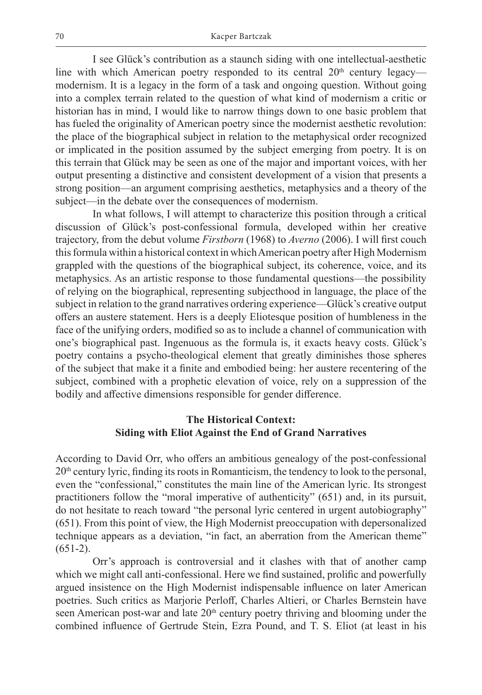I see Glück's contribution as a staunch siding with one intellectual-aesthetic line with which American poetry responded to its central  $20<sup>th</sup>$  century legacy modernism. It is a legacy in the form of a task and ongoing question. Without going into a complex terrain related to the question of what kind of modernism a critic or historian has in mind, I would like to narrow things down to one basic problem that has fueled the originality of American poetry since the modernist aesthetic revolution: the place of the biographical subject in relation to the metaphysical order recognized or implicated in the position assumed by the subject emerging from poetry. It is on this terrain that Glück may be seen as one of the major and important voices, with her output presenting a distinctive and consistent development of a vision that presents a strong position—an argument comprising aesthetics, metaphysics and a theory of the subject—in the debate over the consequences of modernism.

In what follows, I will attempt to characterize this position through a critical discussion of Glück's post-confessional formula, developed within her creative trajectory, from the debut volume *Firstborn* (1968) to *Averno* (2006). I will first couch this formula within a historical context in which American poetry after High Modernism grappled with the questions of the biographical subject, its coherence, voice, and its metaphysics. As an artistic response to those fundamental questions—the possibility of relying on the biographical, representing subjecthood in language, the place of the subject in relation to the grand narratives ordering experience—Glück's creative output offers an austere statement. Hers is a deeply Eliotesque position of humbleness in the face of the unifying orders, modified so as to include a channel of communication with one's biographical past. Ingenuous as the formula is, it exacts heavy costs. Glück's poetry contains a psycho-theological element that greatly diminishes those spheres of the subject that make it a finite and embodied being: her austere recentering of the subject, combined with a prophetic elevation of voice, rely on a suppression of the bodily and affective dimensions responsible for gender difference.

## **The Historical Context: Siding with Eliot Against the End of Grand Narratives**

According to David Orr, who offers an ambitious genealogy of the post-confessional  $20<sup>th</sup>$  century lyric, finding its roots in Romanticism, the tendency to look to the personal, even the "confessional," constitutes the main line of the American lyric. Its strongest practitioners follow the "moral imperative of authenticity" (651) and, in its pursuit, do not hesitate to reach toward "the personal lyric centered in urgent autobiography" (651). From this point of view, the High Modernist preoccupation with depersonalized technique appears as a deviation, "in fact, an aberration from the American theme"  $(651-2).$ 

Orr's approach is controversial and it clashes with that of another camp which we might call anti-confessional. Here we find sustained, prolific and powerfully argued insistence on the High Modernist indispensable influence on later American poetries. Such critics as Marjorie Perloff, Charles Altieri, or Charles Bernstein have seen American post-war and late 20<sup>th</sup> century poetry thriving and blooming under the combined influence of Gertrude Stein, Ezra Pound, and T. S. Eliot (at least in his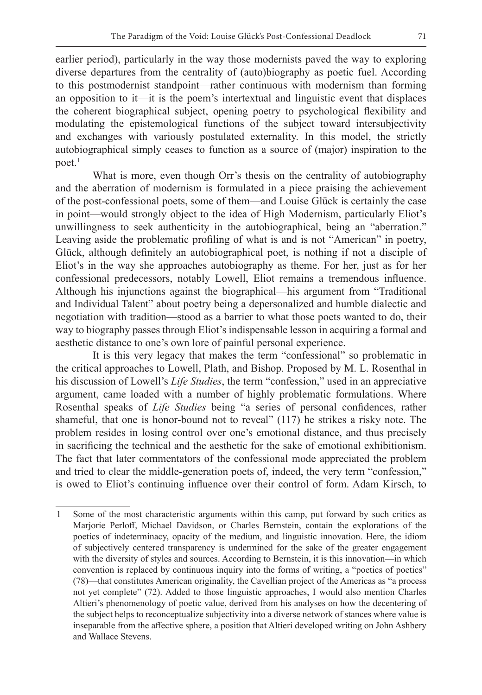earlier period), particularly in the way those modernists paved the way to exploring diverse departures from the centrality of (auto)biography as poetic fuel. According to this postmodernist standpoint—rather continuous with modernism than forming an opposition to it—it is the poem's intertextual and linguistic event that displaces the coherent biographical subject, opening poetry to psychological flexibility and modulating the epistemological functions of the subject toward intersubjectivity and exchanges with variously postulated externality. In this model, the strictly autobiographical simply ceases to function as a source of (major) inspiration to the poet.<sup>1</sup>

What is more, even though Orr's thesis on the centrality of autobiography and the aberration of modernism is formulated in a piece praising the achievement of the post-confessional poets, some of them—and Louise Glück is certainly the case in point—would strongly object to the idea of High Modernism, particularly Eliot's unwillingness to seek authenticity in the autobiographical, being an "aberration." Leaving aside the problematic profiling of what is and is not "American" in poetry, Glück, although definitely an autobiographical poet, is nothing if not a disciple of Eliot's in the way she approaches autobiography as theme. For her, just as for her confessional predecessors, notably Lowell, Eliot remains a tremendous influence. Although his injunctions against the biographical—his argument from "Traditional and Individual Talent" about poetry being a depersonalized and humble dialectic and negotiation with tradition—stood as a barrier to what those poets wanted to do, their way to biography passes through Eliot's indispensable lesson in acquiring a formal and aesthetic distance to one's own lore of painful personal experience.

It is this very legacy that makes the term "confessional" so problematic in the critical approaches to Lowell, Plath, and Bishop. Proposed by M. L. Rosenthal in his discussion of Lowell's *Life Studies*, the term "confession," used in an appreciative argument, came loaded with a number of highly problematic formulations. Where Rosenthal speaks of *Life Studies* being "a series of personal confidences, rather shameful, that one is honor-bound not to reveal" (117) he strikes a risky note. The problem resides in losing control over one's emotional distance, and thus precisely in sacrificing the technical and the aesthetic for the sake of emotional exhibitionism. The fact that later commentators of the confessional mode appreciated the problem and tried to clear the middle-generation poets of, indeed, the very term "confession," is owed to Eliot's continuing influence over their control of form. Adam Kirsch, to

<sup>1</sup> Some of the most characteristic arguments within this camp, put forward by such critics as Marjorie Perloff, Michael Davidson, or Charles Bernstein, contain the explorations of the poetics of indeterminacy, opacity of the medium, and linguistic innovation. Here, the idiom of subjectively centered transparency is undermined for the sake of the greater engagement with the diversity of styles and sources. According to Bernstein, it is this innovation—in which convention is replaced by continuous inquiry into the forms of writing, a "poetics of poetics" (78)—that constitutes American originality, the Cavellian project of the Americas as "a process not yet complete" (72). Added to those linguistic approaches, I would also mention Charles Altieri's phenomenology of poetic value, derived from his analyses on how the decentering of the subject helps to reconceptualize subjectivity into a diverse network of stances where value is inseparable from the affective sphere, a position that Altieri developed writing on John Ashbery and Wallace Stevens.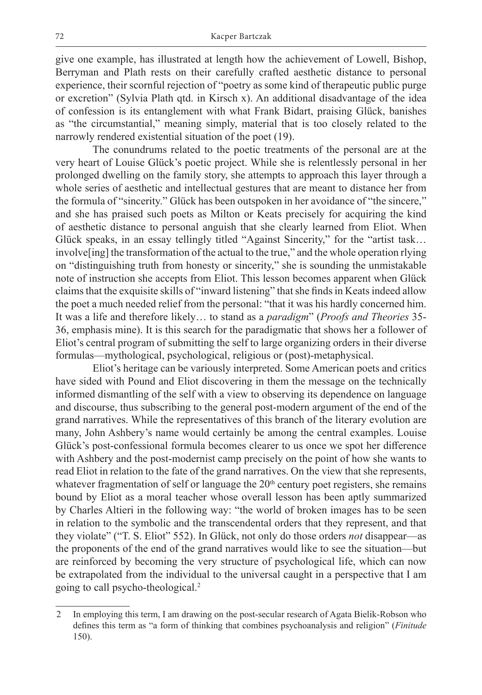give one example, has illustrated at length how the achievement of Lowell, Bishop, Berryman and Plath rests on their carefully crafted aesthetic distance to personal experience, their scornful rejection of "poetry as some kind of therapeutic public purge or excretion" (Sylvia Plath qtd. in Kirsch x). An additional disadvantage of the idea of confession is its entanglement with what Frank Bidart, praising Glück, banishes as "the circumstantial," meaning simply, material that is too closely related to the narrowly rendered existential situation of the poet (19).

The conundrums related to the poetic treatments of the personal are at the very heart of Louise Glück's poetic project. While she is relentlessly personal in her prolonged dwelling on the family story, she attempts to approach this layer through a whole series of aesthetic and intellectual gestures that are meant to distance her from the formula of "sincerity." Glück has been outspoken in her avoidance of "the sincere," and she has praised such poets as Milton or Keats precisely for acquiring the kind of aesthetic distance to personal anguish that she clearly learned from Eliot. When Glück speaks, in an essay tellingly titled "Against Sincerity," for the "artist task… involve[ing] the transformation of the actual to the true," and the whole operation rlying on "distinguishing truth from honesty or sincerity," she is sounding the unmistakable note of instruction she accepts from Eliot. This lesson becomes apparent when Glück claims that the exquisite skills of "inward listening" that she finds in Keats indeed allow the poet a much needed relief from the personal: "that it was his hardly concerned him. It was a life and therefore likely… to stand as a *paradigm*" (*Proofs and Theories* 35- 36, emphasis mine). It is this search for the paradigmatic that shows her a follower of Eliot's central program of submitting the self to large organizing orders in their diverse formulas—mythological, psychological, religious or (post)-metaphysical.

Eliot's heritage can be variously interpreted. Some American poets and critics have sided with Pound and Eliot discovering in them the message on the technically informed dismantling of the self with a view to observing its dependence on language and discourse, thus subscribing to the general post-modern argument of the end of the grand narratives. While the representatives of this branch of the literary evolution are many, John Ashbery's name would certainly be among the central examples. Louise Glück's post-confessional formula becomes clearer to us once we spot her difference with Ashbery and the post-modernist camp precisely on the point of how she wants to read Eliot in relation to the fate of the grand narratives. On the view that she represents, whatever fragmentation of self or language the  $20<sup>th</sup>$  century poet registers, she remains bound by Eliot as a moral teacher whose overall lesson has been aptly summarized by Charles Altieri in the following way: "the world of broken images has to be seen in relation to the symbolic and the transcendental orders that they represent, and that they violate" ("T. S. Eliot" 552). In Glück, not only do those orders *not* disappear—as the proponents of the end of the grand narratives would like to see the situation—but are reinforced by becoming the very structure of psychological life, which can now be extrapolated from the individual to the universal caught in a perspective that I am going to call psycho-theological.2

<sup>2</sup> In employing this term, I am drawing on the post-secular research of Agata Bielik-Robson who defines this term as "a form of thinking that combines psychoanalysis and religion" (*Finitude* 150).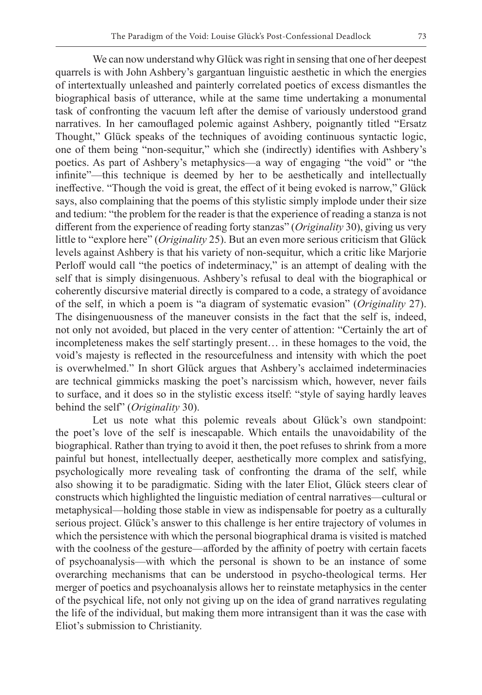We can now understand why Glück was right in sensing that one of her deepest quarrels is with John Ashbery's gargantuan linguistic aesthetic in which the energies of intertextually unleashed and painterly correlated poetics of excess dismantles the biographical basis of utterance, while at the same time undertaking a monumental task of confronting the vacuum left after the demise of variously understood grand narratives. In her camouflaged polemic against Ashbery, poignantly titled "Ersatz Thought," Glück speaks of the techniques of avoiding continuous syntactic logic, one of them being "non-sequitur," which she (indirectly) identifies with Ashbery's poetics. As part of Ashbery's metaphysics—a way of engaging "the void" or "the infinite"—this technique is deemed by her to be aesthetically and intellectually ineffective. "Though the void is great, the effect of it being evoked is narrow," Glück says, also complaining that the poems of this stylistic simply implode under their size and tedium: "the problem for the reader is that the experience of reading a stanza is not different from the experience of reading forty stanzas" (*Originality* 30), giving us very little to "explore here" (*Originality* 25). But an even more serious criticism that Glück levels against Ashbery is that his variety of non-sequitur, which a critic like Marjorie Perloff would call "the poetics of indeterminacy," is an attempt of dealing with the self that is simply disingenuous. Ashbery's refusal to deal with the biographical or coherently discursive material directly is compared to a code, a strategy of avoidance of the self, in which a poem is "a diagram of systematic evasion" (*Originality* 27). The disingenuousness of the maneuver consists in the fact that the self is, indeed, not only not avoided, but placed in the very center of attention: "Certainly the art of incompleteness makes the self startingly present… in these homages to the void, the void's majesty is reflected in the resourcefulness and intensity with which the poet is overwhelmed." In short Glück argues that Ashbery's acclaimed indeterminacies are technical gimmicks masking the poet's narcissism which, however, never fails to surface, and it does so in the stylistic excess itself: "style of saying hardly leaves behind the self" (*Originality* 30).

Let us note what this polemic reveals about Glück's own standpoint: the poet's love of the self is inescapable. Which entails the unavoidability of the biographical. Rather than trying to avoid it then, the poet refuses to shrink from a more painful but honest, intellectually deeper, aesthetically more complex and satisfying, psychologically more revealing task of confronting the drama of the self, while also showing it to be paradigmatic. Siding with the later Eliot, Glück steers clear of constructs which highlighted the linguistic mediation of central narratives—cultural or metaphysical—holding those stable in view as indispensable for poetry as a culturally serious project. Glück's answer to this challenge is her entire trajectory of volumes in which the persistence with which the personal biographical drama is visited is matched with the coolness of the gesture—afforded by the affinity of poetry with certain facets of psychoanalysis—with which the personal is shown to be an instance of some overarching mechanisms that can be understood in psycho-theological terms. Her merger of poetics and psychoanalysis allows her to reinstate metaphysics in the center of the psychical life, not only not giving up on the idea of grand narratives regulating the life of the individual, but making them more intransigent than it was the case with Eliot's submission to Christianity.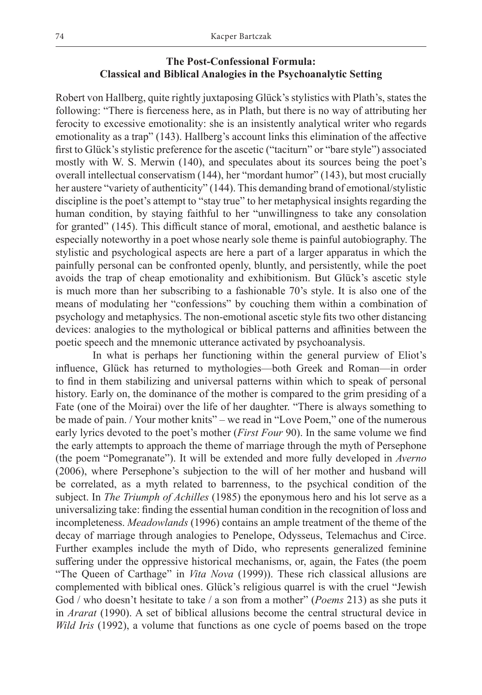### **The Post-Confessional Formula: Classical and Biblical Analogies in the Psychoanalytic Setting**

Robert von Hallberg, quite rightly juxtaposing Glück's stylistics with Plath's, states the following: "There is fierceness here, as in Plath, but there is no way of attributing her ferocity to excessive emotionality: she is an insistently analytical writer who regards emotionality as a trap" (143). Hallberg's account links this elimination of the affective first to Glück's stylistic preference for the ascetic ("taciturn" or "bare style") associated mostly with W. S. Merwin (140), and speculates about its sources being the poet's overall intellectual conservatism (144), her "mordant humor" (143), but most crucially her austere "variety of authenticity" (144). This demanding brand of emotional/stylistic discipline is the poet's attempt to "stay true" to her metaphysical insights regarding the human condition, by staying faithful to her "unwillingness to take any consolation for granted" (145). This difficult stance of moral, emotional, and aesthetic balance is especially noteworthy in a poet whose nearly sole theme is painful autobiography. The stylistic and psychological aspects are here a part of a larger apparatus in which the painfully personal can be confronted openly, bluntly, and persistently, while the poet avoids the trap of cheap emotionality and exhibitionism. But Glück's ascetic style is much more than her subscribing to a fashionable 70's style. It is also one of the means of modulating her "confessions" by couching them within a combination of psychology and metaphysics. The non-emotional ascetic style fits two other distancing devices: analogies to the mythological or biblical patterns and affinities between the poetic speech and the mnemonic utterance activated by psychoanalysis.

In what is perhaps her functioning within the general purview of Eliot's influence, Glück has returned to mythologies—both Greek and Roman—in order to find in them stabilizing and universal patterns within which to speak of personal history. Early on, the dominance of the mother is compared to the grim presiding of a Fate (one of the Moirai) over the life of her daughter. "There is always something to be made of pain. / Your mother knits" – we read in "Love Poem," one of the numerous early lyrics devoted to the poet's mother (*First Four* 90). In the same volume we find the early attempts to approach the theme of marriage through the myth of Persephone (the poem "Pomegranate"). It will be extended and more fully developed in *Averno*  (2006), where Persephone's subjection to the will of her mother and husband will be correlated, as a myth related to barrenness, to the psychical condition of the subject. In *The Triumph of Achilles* (1985) the eponymous hero and his lot serve as a universalizing take: finding the essential human condition in the recognition of loss and incompleteness. *Meadowlands* (1996) contains an ample treatment of the theme of the decay of marriage through analogies to Penelope, Odysseus, Telemachus and Circe. Further examples include the myth of Dido, who represents generalized feminine suffering under the oppressive historical mechanisms, or, again, the Fates (the poem "The Queen of Carthage" in *Vita Nova* (1999)). These rich classical allusions are complemented with biblical ones. Glück's religious quarrel is with the cruel "Jewish God / who doesn't hesitate to take / a son from a mother" (*Poems* 213) as she puts it in *Ararat* (1990). A set of biblical allusions become the central structural device in *Wild Iris* (1992), a volume that functions as one cycle of poems based on the trope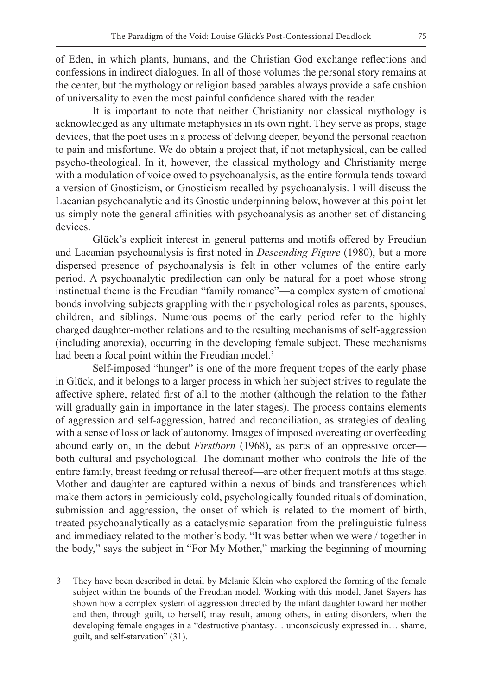of Eden, in which plants, humans, and the Christian God exchange reflections and confessions in indirect dialogues. In all of those volumes the personal story remains at the center, but the mythology or religion based parables always provide a safe cushion of universality to even the most painful confidence shared with the reader.

It is important to note that neither Christianity nor classical mythology is acknowledged as any ultimate metaphysics in its own right. They serve as props, stage devices, that the poet uses in a process of delving deeper, beyond the personal reaction to pain and misfortune. We do obtain a project that, if not metaphysical, can be called psycho-theological. In it, however, the classical mythology and Christianity merge with a modulation of voice owed to psychoanalysis, as the entire formula tends toward a version of Gnosticism, or Gnosticism recalled by psychoanalysis. I will discuss the Lacanian psychoanalytic and its Gnostic underpinning below, however at this point let us simply note the general affinities with psychoanalysis as another set of distancing devices.

Glück's explicit interest in general patterns and motifs offered by Freudian and Lacanian psychoanalysis is first noted in *Descending Figure* (1980), but a more dispersed presence of psychoanalysis is felt in other volumes of the entire early period. A psychoanalytic predilection can only be natural for a poet whose strong instinctual theme is the Freudian "family romance"—a complex system of emotional bonds involving subjects grappling with their psychological roles as parents, spouses, children, and siblings. Numerous poems of the early period refer to the highly charged daughter-mother relations and to the resulting mechanisms of self-aggression (including anorexia), occurring in the developing female subject. These mechanisms had been a focal point within the Freudian model.<sup>3</sup>

Self-imposed "hunger" is one of the more frequent tropes of the early phase in Glück, and it belongs to a larger process in which her subject strives to regulate the affective sphere, related first of all to the mother (although the relation to the father will gradually gain in importance in the later stages). The process contains elements of aggression and self-aggression, hatred and reconciliation, as strategies of dealing with a sense of loss or lack of autonomy. Images of imposed overeating or overfeeding abound early on, in the debut *Firstborn* (1968), as parts of an oppressive order both cultural and psychological. The dominant mother who controls the life of the entire family, breast feeding or refusal thereof—are other frequent motifs at this stage. Mother and daughter are captured within a nexus of binds and transferences which make them actors in perniciously cold, psychologically founded rituals of domination, submission and aggression, the onset of which is related to the moment of birth, treated psychoanalytically as a cataclysmic separation from the prelinguistic fulness and immediacy related to the mother's body. "It was better when we were / together in the body," says the subject in "For My Mother," marking the beginning of mourning

<sup>3</sup> They have been described in detail by Melanie Klein who explored the forming of the female subject within the bounds of the Freudian model. Working with this model, Janet Sayers has shown how a complex system of aggression directed by the infant daughter toward her mother and then, through guilt, to herself, may result, among others, in eating disorders, when the developing female engages in a "destructive phantasy… unconsciously expressed in… shame, guilt, and self-starvation" (31).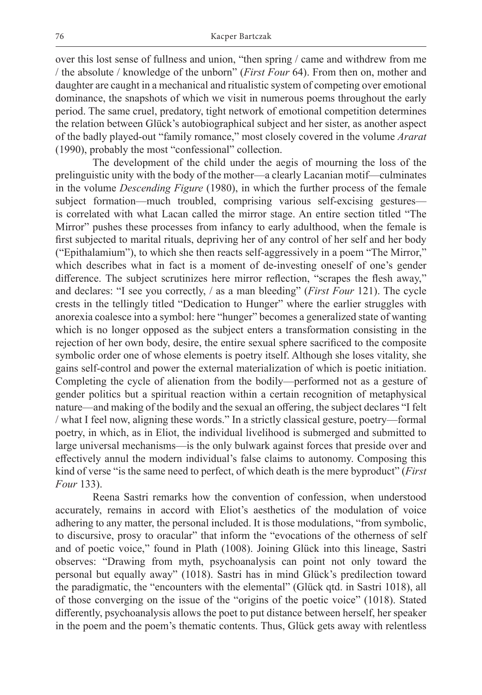over this lost sense of fullness and union, "then spring / came and withdrew from me / the absolute / knowledge of the unborn" (*First Four* 64). From then on, mother and daughter are caught in a mechanical and ritualistic system of competing over emotional dominance, the snapshots of which we visit in numerous poems throughout the early period. The same cruel, predatory, tight network of emotional competition determines the relation between Glück's autobiographical subject and her sister, as another aspect of the badly played-out "family romance," most closely covered in the volume *Ararat* (1990), probably the most "confessional" collection.

The development of the child under the aegis of mourning the loss of the prelinguistic unity with the body of the mother—a clearly Lacanian motif—culminates in the volume *Descending Figure* (1980), in which the further process of the female subject formation—much troubled, comprising various self-excising gestures is correlated with what Lacan called the mirror stage. An entire section titled "The Mirror" pushes these processes from infancy to early adulthood, when the female is first subjected to marital rituals, depriving her of any control of her self and her body ("Epithalamium"), to which she then reacts self-aggressively in a poem "The Mirror," which describes what in fact is a moment of de-investing oneself of one's gender difference. The subject scrutinizes here mirror reflection, "scrapes the flesh away," and declares: "I see you correctly, / as a man bleeding" (*First Four* 121). The cycle crests in the tellingly titled "Dedication to Hunger" where the earlier struggles with anorexia coalesce into a symbol: here "hunger" becomes a generalized state of wanting which is no longer opposed as the subject enters a transformation consisting in the rejection of her own body, desire, the entire sexual sphere sacrificed to the composite symbolic order one of whose elements is poetry itself. Although she loses vitality, she gains self-control and power the external materialization of which is poetic initiation. Completing the cycle of alienation from the bodily—performed not as a gesture of gender politics but a spiritual reaction within a certain recognition of metaphysical nature—and making of the bodily and the sexual an offering, the subject declares "I felt / what I feel now, aligning these words." In a strictly classical gesture, poetry—formal poetry, in which, as in Eliot, the individual livelihood is submerged and submitted to large universal mechanisms—is the only bulwark against forces that preside over and effectively annul the modern individual's false claims to autonomy. Composing this kind of verse "is the same need to perfect, of which death is the mere byproduct" (*First Four* 133).

Reena Sastri remarks how the convention of confession, when understood accurately, remains in accord with Eliot's aesthetics of the modulation of voice adhering to any matter, the personal included. It is those modulations, "from symbolic, to discursive, prosy to oracular" that inform the "evocations of the otherness of self and of poetic voice," found in Plath (1008). Joining Glück into this lineage, Sastri observes: "Drawing from myth, psychoanalysis can point not only toward the personal but equally away" (1018). Sastri has in mind Glück's predilection toward the paradigmatic, the "encounters with the elemental" (Glück qtd. in Sastri 1018), all of those converging on the issue of the "origins of the poetic voice" (1018). Stated differently, psychoanalysis allows the poet to put distance between herself, her speaker in the poem and the poem's thematic contents. Thus, Glück gets away with relentless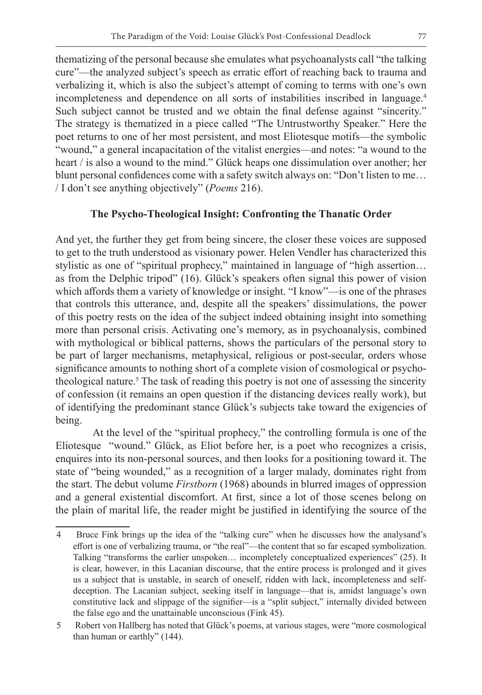thematizing of the personal because she emulates what psychoanalysts call "the talking cure"—the analyzed subject's speech as erratic effort of reaching back to trauma and verbalizing it, which is also the subject's attempt of coming to terms with one's own incompleteness and dependence on all sorts of instabilities inscribed in language.4 Such subject cannot be trusted and we obtain the final defense against "sincerity." The strategy is thematized in a piece called "The Untrustworthy Speaker." Here the poet returns to one of her most persistent, and most Eliotesque motifs—the symbolic "wound," a general incapacitation of the vitalist energies—and notes: "a wound to the heart / is also a wound to the mind." Glück heaps one dissimulation over another; her blunt personal confidences come with a safety switch always on: "Don't listen to me… / I don't see anything objectively" (*Poems* 216).

#### **The Psycho-Theological Insight: Confronting the Thanatic Order**

And yet, the further they get from being sincere, the closer these voices are supposed to get to the truth understood as visionary power. Helen Vendler has characterized this stylistic as one of "spiritual prophecy," maintained in language of "high assertion… as from the Delphic tripod" (16). Glück's speakers often signal this power of vision which affords them a variety of knowledge or insight. "I know"—is one of the phrases that controls this utterance, and, despite all the speakers' dissimulations, the power of this poetry rests on the idea of the subject indeed obtaining insight into something more than personal crisis. Activating one's memory, as in psychoanalysis, combined with mythological or biblical patterns, shows the particulars of the personal story to be part of larger mechanisms, metaphysical, religious or post-secular, orders whose significance amounts to nothing short of a complete vision of cosmological or psychotheological nature.<sup>5</sup> The task of reading this poetry is not one of assessing the sincerity of confession (it remains an open question if the distancing devices really work), but of identifying the predominant stance Glück's subjects take toward the exigencies of being.

At the level of the "spiritual prophecy," the controlling formula is one of the Eliotesque "wound." Glück, as Eliot before her, is a poet who recognizes a crisis, enquires into its non-personal sources, and then looks for a positioning toward it. The state of "being wounded," as a recognition of a larger malady, dominates right from the start. The debut volume *Firstborn* (1968) abounds in blurred images of oppression and a general existential discomfort. At first, since a lot of those scenes belong on the plain of marital life, the reader might be justified in identifying the source of the

<sup>4</sup> Bruce Fink brings up the idea of the "talking cure" when he discusses how the analysand's effort is one of verbalizing trauma, or "the real"—the content that so far escaped symbolization. Talking "transforms the earlier unspoken… incompletely conceptualized experiences" (25). It is clear, however, in this Lacanian discourse, that the entire process is prolonged and it gives us a subject that is unstable, in search of oneself, ridden with lack, incompleteness and selfdeception. The Lacanian subject, seeking itself in language—that is, amidst language's own constitutive lack and slippage of the signifier—is a "split subject," internally divided between the false ego and the unattainable unconscious (Fink 45).

<sup>5</sup> Robert von Hallberg has noted that Glück's poems, at various stages, were "more cosmological than human or earthly" (144).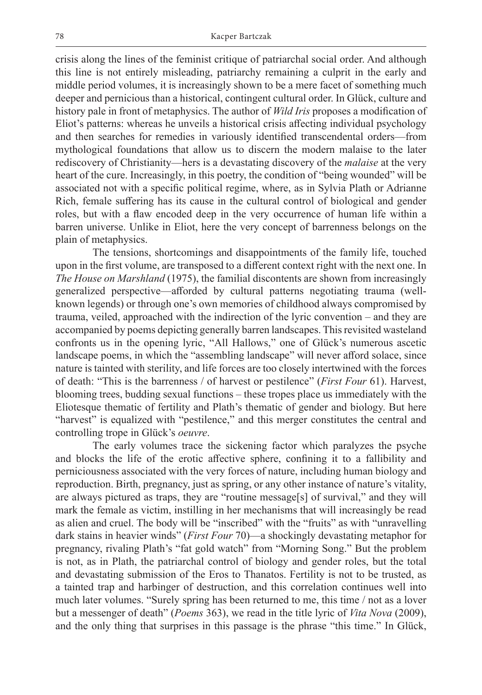crisis along the lines of the feminist critique of patriarchal social order. And although this line is not entirely misleading, patriarchy remaining a culprit in the early and middle period volumes, it is increasingly shown to be a mere facet of something much deeper and pernicious than a historical, contingent cultural order. In Glück, culture and history pale in front of metaphysics. The author of *Wild Iris* proposes a modification of Eliot's patterns: whereas he unveils a historical crisis affecting individual psychology and then searches for remedies in variously identified transcendental orders—from mythological foundations that allow us to discern the modern malaise to the later rediscovery of Christianity—hers is a devastating discovery of the *malaise* at the very heart of the cure. Increasingly, in this poetry, the condition of "being wounded" will be associated not with a specific political regime, where, as in Sylvia Plath or Adrianne Rich, female suffering has its cause in the cultural control of biological and gender roles, but with a flaw encoded deep in the very occurrence of human life within a barren universe. Unlike in Eliot, here the very concept of barrenness belongs on the plain of metaphysics.

The tensions, shortcomings and disappointments of the family life, touched upon in the first volume, are transposed to a different context right with the next one. In *The House on Marshland* (1975), the familial discontents are shown from increasingly generalized perspective—afforded by cultural patterns negotiating trauma (wellknown legends) or through one's own memories of childhood always compromised by trauma, veiled, approached with the indirection of the lyric convention – and they are accompanied by poems depicting generally barren landscapes. This revisited wasteland confronts us in the opening lyric, "All Hallows," one of Glück's numerous ascetic landscape poems, in which the "assembling landscape" will never afford solace, since nature is tainted with sterility, and life forces are too closely intertwined with the forces of death: "This is the barrenness / of harvest or pestilence" (*First Four* 61). Harvest, blooming trees, budding sexual functions – these tropes place us immediately with the Eliotesque thematic of fertility and Plath's thematic of gender and biology. But here "harvest" is equalized with "pestilence," and this merger constitutes the central and controlling trope in Glück's *oeuvre*.

The early volumes trace the sickening factor which paralyzes the psyche and blocks the life of the erotic affective sphere, confining it to a fallibility and perniciousness associated with the very forces of nature, including human biology and reproduction. Birth, pregnancy, just as spring, or any other instance of nature's vitality, are always pictured as traps, they are "routine message[s] of survival," and they will mark the female as victim, instilling in her mechanisms that will increasingly be read as alien and cruel. The body will be "inscribed" with the "fruits" as with "unravelling dark stains in heavier winds" (*First Four* 70)—a shockingly devastating metaphor for pregnancy, rivaling Plath's "fat gold watch" from "Morning Song." But the problem is not, as in Plath, the patriarchal control of biology and gender roles, but the total and devastating submission of the Eros to Thanatos. Fertility is not to be trusted, as a tainted trap and harbinger of destruction, and this correlation continues well into much later volumes. "Surely spring has been returned to me, this time / not as a lover but a messenger of death" (*Poems* 363), we read in the title lyric of *Vita Nova* (2009), and the only thing that surprises in this passage is the phrase "this time." In Glück,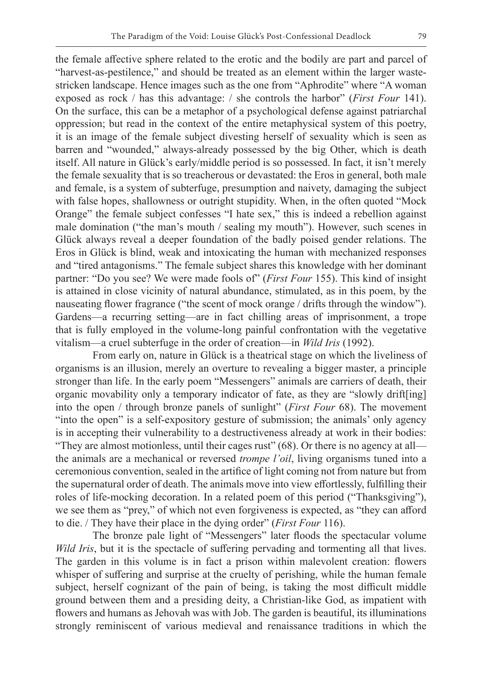the female affective sphere related to the erotic and the bodily are part and parcel of "harvest-as-pestilence," and should be treated as an element within the larger wastestricken landscape. Hence images such as the one from "Aphrodite" where "A woman exposed as rock / has this advantage: / she controls the harbor" (*First Four* 141). On the surface, this can be a metaphor of a psychological defense against patriarchal oppression; but read in the context of the entire metaphysical system of this poetry, it is an image of the female subject divesting herself of sexuality which is seen as barren and "wounded," always-already possessed by the big Other, which is death itself. All nature in Glück's early/middle period is so possessed. In fact, it isn't merely the female sexuality that is so treacherous or devastated: the Eros in general, both male and female, is a system of subterfuge, presumption and naivety, damaging the subject with false hopes, shallowness or outright stupidity. When, in the often quoted "Mock Orange" the female subject confesses "I hate sex," this is indeed a rebellion against male domination ("the man's mouth / sealing my mouth"). However, such scenes in Glück always reveal a deeper foundation of the badly poised gender relations. The Eros in Glück is blind, weak and intoxicating the human with mechanized responses and "tired antagonisms." The female subject shares this knowledge with her dominant partner: "Do you see? We were made fools of" (*First Four* 155). This kind of insight is attained in close vicinity of natural abundance, stimulated, as in this poem, by the nauseating flower fragrance ("the scent of mock orange / drifts through the window"). Gardens—a recurring setting—are in fact chilling areas of imprisonment, a trope that is fully employed in the volume-long painful confrontation with the vegetative vitalism—a cruel subterfuge in the order of creation—in *Wild Iris* (1992).

From early on, nature in Glück is a theatrical stage on which the liveliness of organisms is an illusion, merely an overture to revealing a bigger master, a principle stronger than life. In the early poem "Messengers" animals are carriers of death, their organic movability only a temporary indicator of fate, as they are "slowly drift[ing] into the open / through bronze panels of sunlight" (*First Four* 68). The movement "into the open" is a self-expository gesture of submission; the animals' only agency is in accepting their vulnerability to a destructiveness already at work in their bodies: "They are almost motionless, until their cages rust" (68). Or there is no agency at all the animals are a mechanical or reversed *trompe l'oil*, living organisms tuned into a ceremonious convention, sealed in the artifice of light coming not from nature but from the supernatural order of death. The animals move into view effortlessly, fulfilling their roles of life-mocking decoration. In a related poem of this period ("Thanksgiving"), we see them as "prey," of which not even forgiveness is expected, as "they can afford to die. / They have their place in the dying order" (*First Four* 116).

The bronze pale light of "Messengers" later floods the spectacular volume *Wild Iris*, but it is the spectacle of suffering pervading and tormenting all that lives. The garden in this volume is in fact a prison within malevolent creation: flowers whisper of suffering and surprise at the cruelty of perishing, while the human female subject, herself cognizant of the pain of being, is taking the most difficult middle ground between them and a presiding deity, a Christian-like God, as impatient with flowers and humans as Jehovah was with Job. The garden is beautiful, its illuminations strongly reminiscent of various medieval and renaissance traditions in which the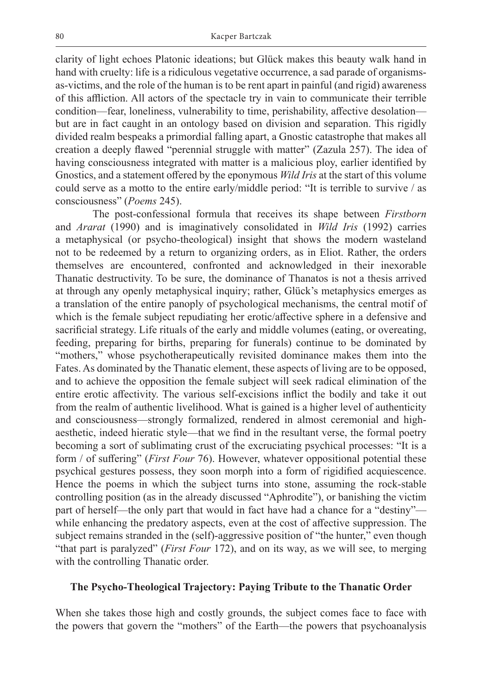clarity of light echoes Platonic ideations; but Glück makes this beauty walk hand in hand with cruelty: life is a ridiculous vegetative occurrence, a sad parade of organismsas-victims, and the role of the human is to be rent apart in painful (and rigid) awareness of this affliction. All actors of the spectacle try in vain to communicate their terrible condition—fear, loneliness, vulnerability to time, perishability, affective desolation but are in fact caught in an ontology based on division and separation. This rigidly divided realm bespeaks a primordial falling apart, a Gnostic catastrophe that makes all creation a deeply flawed "perennial struggle with matter" (Zazula 257). The idea of having consciousness integrated with matter is a malicious ploy, earlier identified by Gnostics, and a statement offered by the eponymous *Wild Iris* at the start of this volume could serve as a motto to the entire early/middle period: "It is terrible to survive / as consciousness" (*Poems* 245).

The post-confessional formula that receives its shape between *Firstborn* and *Ararat* (1990) and is imaginatively consolidated in *Wild Iris* (1992) carries a metaphysical (or psycho-theological) insight that shows the modern wasteland not to be redeemed by a return to organizing orders, as in Eliot. Rather, the orders themselves are encountered, confronted and acknowledged in their inexorable Thanatic destructivity. To be sure, the dominance of Thanatos is not a thesis arrived at through any openly metaphysical inquiry; rather, Glück's metaphysics emerges as a translation of the entire panoply of psychological mechanisms, the central motif of which is the female subject repudiating her erotic/affective sphere in a defensive and sacrificial strategy. Life rituals of the early and middle volumes (eating, or overeating, feeding, preparing for births, preparing for funerals) continue to be dominated by "mothers," whose psychotherapeutically revisited dominance makes them into the Fates. As dominated by the Thanatic element, these aspects of living are to be opposed, and to achieve the opposition the female subject will seek radical elimination of the entire erotic affectivity. The various self-excisions inflict the bodily and take it out from the realm of authentic livelihood. What is gained is a higher level of authenticity and consciousness—strongly formalized, rendered in almost ceremonial and highaesthetic, indeed hieratic style—that we find in the resultant verse, the formal poetry becoming a sort of sublimating crust of the excruciating psychical processes: "It is a form / of suffering" (*First Four* 76). However, whatever oppositional potential these psychical gestures possess, they soon morph into a form of rigidified acquiescence. Hence the poems in which the subject turns into stone, assuming the rock-stable controlling position (as in the already discussed "Aphrodite"), or banishing the victim part of herself—the only part that would in fact have had a chance for a "destiny" while enhancing the predatory aspects, even at the cost of affective suppression. The subject remains stranded in the (self)-aggressive position of "the hunter," even though "that part is paralyzed" (*First Four* 172), and on its way, as we will see, to merging with the controlling Thanatic order.

#### **The Psycho-Theological Trajectory: Paying Tribute to the Thanatic Order**

When she takes those high and costly grounds, the subject comes face to face with the powers that govern the "mothers" of the Earth—the powers that psychoanalysis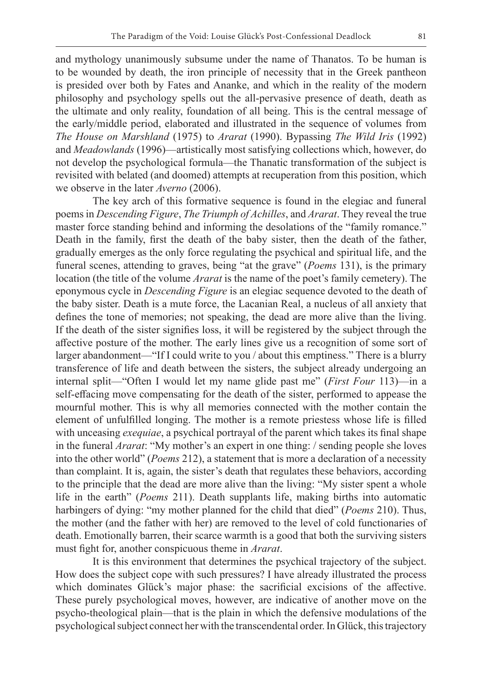and mythology unanimously subsume under the name of Thanatos. To be human is to be wounded by death, the iron principle of necessity that in the Greek pantheon is presided over both by Fates and Ananke, and which in the reality of the modern philosophy and psychology spells out the all-pervasive presence of death, death as the ultimate and only reality, foundation of all being. This is the central message of the early/middle period, elaborated and illustrated in the sequence of volumes from *The House on Marshland* (1975) to *Ararat* (1990). Bypassing *The Wild Iris* (1992) and *Meadowlands* (1996)—artistically most satisfying collections which, however, do not develop the psychological formula—the Thanatic transformation of the subject is revisited with belated (and doomed) attempts at recuperation from this position, which we observe in the later *Averno* (2006).

The key arch of this formative sequence is found in the elegiac and funeral poems in *Descending Figure*, *The Triumph of Achilles*, and *Ararat*. They reveal the true master force standing behind and informing the desolations of the "family romance." Death in the family, first the death of the baby sister, then the death of the father, gradually emerges as the only force regulating the psychical and spiritual life, and the funeral scenes, attending to graves, being "at the grave" (*Poems* 131), is the primary location (the title of the volume *Ararat* is the name of the poet's family cemetery). The eponymous cycle in *Descending Figure* is an elegiac sequence devoted to the death of the baby sister. Death is a mute force, the Lacanian Real, a nucleus of all anxiety that defines the tone of memories; not speaking, the dead are more alive than the living. If the death of the sister signifies loss, it will be registered by the subject through the affective posture of the mother. The early lines give us a recognition of some sort of larger abandonment—"If I could write to you / about this emptiness." There is a blurry transference of life and death between the sisters, the subject already undergoing an internal split—"Often I would let my name glide past me" (*First Four* 113)—in a self-effacing move compensating for the death of the sister, performed to appease the mournful mother. This is why all memories connected with the mother contain the element of unfulfilled longing. The mother is a remote priestess whose life is filled with unceasing *exequiae*, a psychical portrayal of the parent which takes its final shape in the funeral *Ararat*: "My mother's an expert in one thing: / sending people she loves into the other world" (*Poems* 212), a statement that is more a declaration of a necessity than complaint. It is, again, the sister's death that regulates these behaviors, according to the principle that the dead are more alive than the living: "My sister spent a whole life in the earth" (*Poems* 211). Death supplants life, making births into automatic harbingers of dying: "my mother planned for the child that died" (*Poems* 210). Thus, the mother (and the father with her) are removed to the level of cold functionaries of death. Emotionally barren, their scarce warmth is a good that both the surviving sisters must fight for, another conspicuous theme in *Ararat*.

It is this environment that determines the psychical trajectory of the subject. How does the subject cope with such pressures? I have already illustrated the process which dominates Glück's major phase: the sacrificial excisions of the affective. These purely psychological moves, however, are indicative of another move on the psycho-theological plain—that is the plain in which the defensive modulations of the psychological subject connect her with the transcendental order. In Glück, this trajectory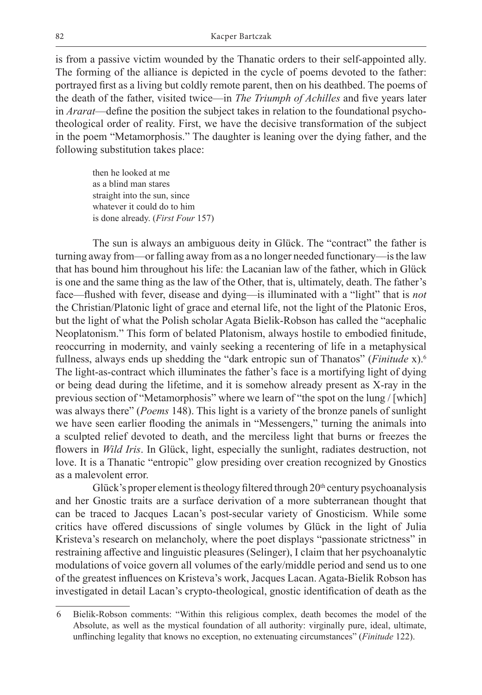is from a passive victim wounded by the Thanatic orders to their self-appointed ally. The forming of the alliance is depicted in the cycle of poems devoted to the father: portrayed first as a living but coldly remote parent, then on his deathbed. The poems of the death of the father, visited twice—in *The Triumph of Achilles* and five years later in *Ararat*—define the position the subject takes in relation to the foundational psychotheological order of reality. First, we have the decisive transformation of the subject in the poem "Metamorphosis." The daughter is leaning over the dying father, and the following substitution takes place:

then he looked at me as a blind man stares straight into the sun, since whatever it could do to him is done already. (*First Four* 157)

The sun is always an ambiguous deity in Glück. The "contract" the father is turning away from—or falling away from as a no longer needed functionary—is the law that has bound him throughout his life: the Lacanian law of the father, which in Glück is one and the same thing as the law of the Other, that is, ultimately, death. The father's face—flushed with fever, disease and dying—is illuminated with a "light" that is *not* the Christian/Platonic light of grace and eternal life, not the light of the Platonic Eros, but the light of what the Polish scholar Agata Bielik-Robson has called the "acephalic Neoplatonism." This form of belated Platonism, always hostile to embodied finitude, reoccurring in modernity, and vainly seeking a recentering of life in a metaphysical fullness, always ends up shedding the "dark entropic sun of Thanatos" (*Finitude* x).6 The light-as-contract which illuminates the father's face is a mortifying light of dying or being dead during the lifetime, and it is somehow already present as X-ray in the previous section of "Metamorphosis" where we learn of "the spot on the lung / [which] was always there" (*Poems* 148). This light is a variety of the bronze panels of sunlight we have seen earlier flooding the animals in "Messengers," turning the animals into a sculpted relief devoted to death, and the merciless light that burns or freezes the flowers in *Wild Iris*. In Glück, light, especially the sunlight, radiates destruction, not love. It is a Thanatic "entropic" glow presiding over creation recognized by Gnostics as a malevolent error.

Glück's proper element is theology filtered through  $20<sup>th</sup>$  century psychoanalysis and her Gnostic traits are a surface derivation of a more subterranean thought that can be traced to Jacques Lacan's post-secular variety of Gnosticism. While some critics have offered discussions of single volumes by Glück in the light of Julia Kristeva's research on melancholy, where the poet displays "passionate strictness" in restraining affective and linguistic pleasures (Selinger), I claim that her psychoanalytic modulations of voice govern all volumes of the early/middle period and send us to one of the greatest influences on Kristeva's work, Jacques Lacan. Agata-Bielik Robson has investigated in detail Lacan's crypto-theological, gnostic identification of death as the

<sup>6</sup> Bielik-Robson comments: "Within this religious complex, death becomes the model of the Absolute, as well as the mystical foundation of all authority: virginally pure, ideal, ultimate, unflinching legality that knows no exception, no extenuating circumstances" (*Finitude* 122).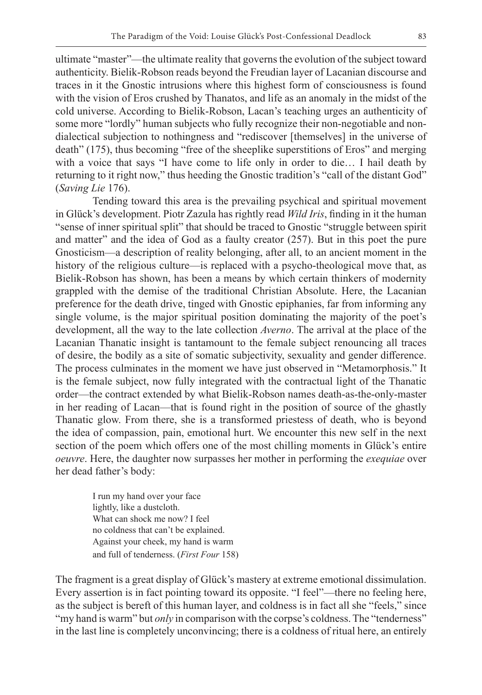ultimate "master"—the ultimate reality that governs the evolution of the subject toward authenticity. Bielik-Robson reads beyond the Freudian layer of Lacanian discourse and traces in it the Gnostic intrusions where this highest form of consciousness is found with the vision of Eros crushed by Thanatos, and life as an anomaly in the midst of the cold universe. According to Bielik-Robson, Lacan's teaching urges an authenticity of some more "lordly" human subjects who fully recognize their non-negotiable and nondialectical subjection to nothingness and "rediscover [themselves] in the universe of death" (175), thus becoming "free of the sheeplike superstitions of Eros" and merging with a voice that says "I have come to life only in order to die… I hail death by returning to it right now," thus heeding the Gnostic tradition's "call of the distant God" (*Saving Lie* 176).

Tending toward this area is the prevailing psychical and spiritual movement in Glück's development. Piotr Zazula has rightly read *Wild Iris*, finding in it the human "sense of inner spiritual split" that should be traced to Gnostic "struggle between spirit and matter" and the idea of God as a faulty creator (257). But in this poet the pure Gnosticism—a description of reality belonging, after all, to an ancient moment in the history of the religious culture—is replaced with a psycho-theological move that, as Bielik-Robson has shown, has been a means by which certain thinkers of modernity grappled with the demise of the traditional Christian Absolute. Here, the Lacanian preference for the death drive, tinged with Gnostic epiphanies, far from informing any single volume, is the major spiritual position dominating the majority of the poet's development, all the way to the late collection *Averno*. The arrival at the place of the Lacanian Thanatic insight is tantamount to the female subject renouncing all traces of desire, the bodily as a site of somatic subjectivity, sexuality and gender difference. The process culminates in the moment we have just observed in "Metamorphosis." It is the female subject, now fully integrated with the contractual light of the Thanatic order—the contract extended by what Bielik-Robson names death-as-the-only-master in her reading of Lacan—that is found right in the position of source of the ghastly Thanatic glow. From there, she is a transformed priestess of death, who is beyond the idea of compassion, pain, emotional hurt. We encounter this new self in the next section of the poem which offers one of the most chilling moments in Glück's entire *oeuvre*. Here, the daughter now surpasses her mother in performing the *exequiae* over her dead father's body:

I run my hand over your face lightly, like a dustcloth. What can shock me now? I feel no coldness that can't be explained. Against your cheek, my hand is warm and full of tenderness. (*First Four* 158)

The fragment is a great display of Glück's mastery at extreme emotional dissimulation. Every assertion is in fact pointing toward its opposite. "I feel"—there no feeling here, as the subject is bereft of this human layer, and coldness is in fact all she "feels," since "my hand is warm" but *only* in comparison with the corpse's coldness. The "tenderness" in the last line is completely unconvincing; there is a coldness of ritual here, an entirely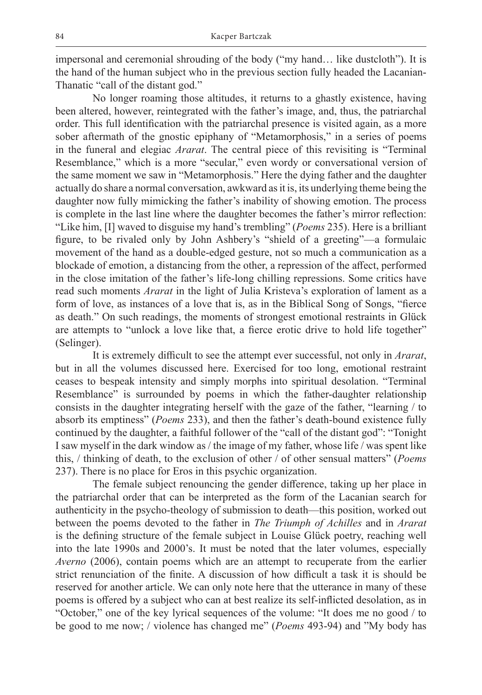impersonal and ceremonial shrouding of the body ("my hand… like dustcloth"). It is the hand of the human subject who in the previous section fully headed the Lacanian-Thanatic "call of the distant god."

No longer roaming those altitudes, it returns to a ghastly existence, having been altered, however, reintegrated with the father's image, and, thus, the patriarchal order. This full identification with the patriarchal presence is visited again, as a more sober aftermath of the gnostic epiphany of "Metamorphosis," in a series of poems in the funeral and elegiac *Ararat*. The central piece of this revisiting is "Terminal Resemblance," which is a more "secular," even wordy or conversational version of the same moment we saw in "Metamorphosis." Here the dying father and the daughter actually do share a normal conversation, awkward as it is, its underlying theme being the daughter now fully mimicking the father's inability of showing emotion. The process is complete in the last line where the daughter becomes the father's mirror reflection: "Like him, [I] waved to disguise my hand's trembling" (*Poems* 235). Here is a brilliant figure, to be rivaled only by John Ashbery's "shield of a greeting"—a formulaic movement of the hand as a double-edged gesture, not so much a communication as a blockade of emotion, a distancing from the other, a repression of the affect, performed in the close imitation of the father's life-long chilling repressions. Some critics have read such moments *Ararat* in the light of Julia Kristeva's exploration of lament as a form of love, as instances of a love that is, as in the Biblical Song of Songs, "fierce as death." On such readings, the moments of strongest emotional restraints in Glück are attempts to "unlock a love like that, a fierce erotic drive to hold life together" (Selinger).

It is extremely difficult to see the attempt ever successful, not only in *Ararat*, but in all the volumes discussed here. Exercised for too long, emotional restraint ceases to bespeak intensity and simply morphs into spiritual desolation. "Terminal Resemblance" is surrounded by poems in which the father-daughter relationship consists in the daughter integrating herself with the gaze of the father, "learning / to absorb its emptiness" (*Poems* 233), and then the father's death-bound existence fully continued by the daughter, a faithful follower of the "call of the distant god": "Tonight I saw myself in the dark window as / the image of my father, whose life / was spent like this, / thinking of death, to the exclusion of other / of other sensual matters" (*Poems* 237). There is no place for Eros in this psychic organization.

The female subject renouncing the gender difference, taking up her place in the patriarchal order that can be interpreted as the form of the Lacanian search for authenticity in the psycho-theology of submission to death—this position, worked out between the poems devoted to the father in *The Triumph of Achilles* and in *Ararat* is the defining structure of the female subject in Louise Glück poetry, reaching well into the late 1990s and 2000's. It must be noted that the later volumes, especially *Averno* (2006), contain poems which are an attempt to recuperate from the earlier strict renunciation of the finite. A discussion of how difficult a task it is should be reserved for another article. We can only note here that the utterance in many of these poems is offered by a subject who can at best realize its self-inflicted desolation, as in "October," one of the key lyrical sequences of the volume: "It does me no good / to be good to me now; / violence has changed me" (*Poems* 493-94) and "My body has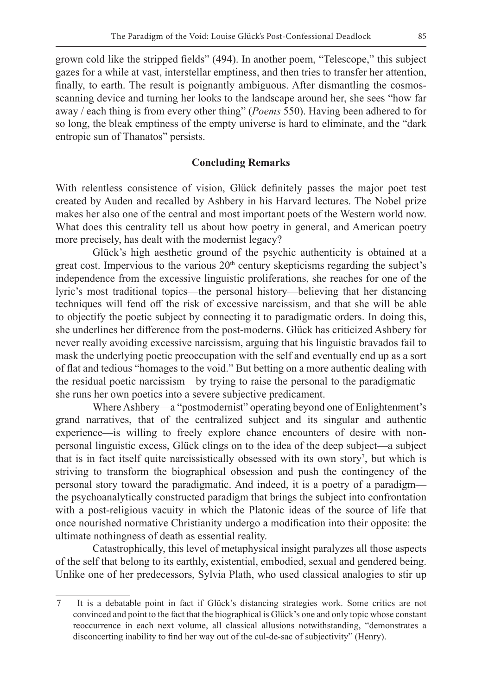grown cold like the stripped fields" (494). In another poem, "Telescope," this subject gazes for a while at vast, interstellar emptiness, and then tries to transfer her attention, finally, to earth. The result is poignantly ambiguous. After dismantling the cosmosscanning device and turning her looks to the landscape around her, she sees "how far away / each thing is from every other thing" (*Poems* 550). Having been adhered to for so long, the bleak emptiness of the empty universe is hard to eliminate, and the "dark entropic sun of Thanatos" persists.

#### **Concluding Remarks**

With relentless consistence of vision, Glück definitely passes the major poet test created by Auden and recalled by Ashbery in his Harvard lectures. The Nobel prize makes her also one of the central and most important poets of the Western world now. What does this centrality tell us about how poetry in general, and American poetry more precisely, has dealt with the modernist legacy?

Glück's high aesthetic ground of the psychic authenticity is obtained at a great cost. Impervious to the various 20<sup>th</sup> century skepticisms regarding the subject's independence from the excessive linguistic proliferations, she reaches for one of the lyric's most traditional topics—the personal history—believing that her distancing techniques will fend off the risk of excessive narcissism, and that she will be able to objectify the poetic subject by connecting it to paradigmatic orders. In doing this, she underlines her difference from the post-moderns. Glück has criticized Ashbery for never really avoiding excessive narcissism, arguing that his linguistic bravados fail to mask the underlying poetic preoccupation with the self and eventually end up as a sort of flat and tedious "homages to the void." But betting on a more authentic dealing with the residual poetic narcissism—by trying to raise the personal to the paradigmatic she runs her own poetics into a severe subjective predicament.

Where Ashbery—a "postmodernist" operating beyond one of Enlightenment's grand narratives, that of the centralized subject and its singular and authentic experience—is willing to freely explore chance encounters of desire with nonpersonal linguistic excess, Glück clings on to the idea of the deep subject—a subject that is in fact itself quite narcissistically obsessed with its own story<sup>7</sup>, but which is striving to transform the biographical obsession and push the contingency of the personal story toward the paradigmatic. And indeed, it is a poetry of a paradigm the psychoanalytically constructed paradigm that brings the subject into confrontation with a post-religious vacuity in which the Platonic ideas of the source of life that once nourished normative Christianity undergo a modification into their opposite: the ultimate nothingness of death as essential reality.

Catastrophically, this level of metaphysical insight paralyzes all those aspects of the self that belong to its earthly, existential, embodied, sexual and gendered being. Unlike one of her predecessors, Sylvia Plath, who used classical analogies to stir up

<sup>7</sup> It is a debatable point in fact if Glück's distancing strategies work. Some critics are not convinced and point to the fact that the biographical is Glück's one and only topic whose constant reoccurrence in each next volume, all classical allusions notwithstanding, "demonstrates a disconcerting inability to find her way out of the cul-de-sac of subjectivity" (Henry).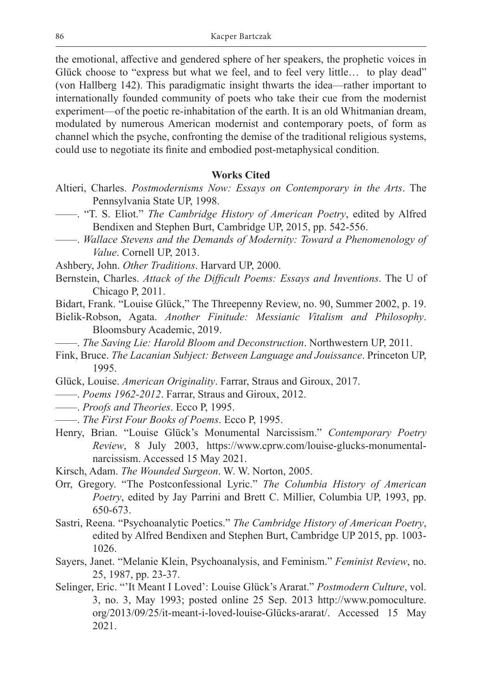the emotional, affective and gendered sphere of her speakers, the prophetic voices in Glück choose to "express but what we feel, and to feel very little… to play dead" (von Hallberg 142). This paradigmatic insight thwarts the idea—rather important to internationally founded community of poets who take their cue from the modernist experiment—of the poetic re-inhabitation of the earth. It is an old Whitmanian dream, modulated by numerous American modernist and contemporary poets, of form as channel which the psyche, confronting the demise of the traditional religious systems, could use to negotiate its finite and embodied post-metaphysical condition.

#### **Works Cited**

- Altieri, Charles. *Postmodernisms Now: Essays on Contemporary in the Arts*. The Pennsylvania State UP, 1998.
	- ——. "T. S. Eliot." *The Cambridge History of American Poetry*, edited by Alfred Bendixen and Stephen Burt, Cambridge UP, 2015, pp. 542-556.
- ——. *Wallace Stevens and the Demands of Modernity: Toward a Phenomenology of Value*. Cornell UP, 2013.
- Ashbery, John. *Other Traditions*. Harvard UP, 2000.
- Bernstein, Charles. *Attack of the Difficult Poems: Essays and Inventions*. The U of Chicago P, 2011.
- Bidart, Frank. "Louise Glück," The Threepenny Review, no. 90, Summer 2002, p. 19.
- Bielik-Robson, Agata. *Another Finitude: Messianic Vitalism and Philosophy*. Bloomsbury Academic, 2019.
	- ——. *The Saving Lie: Harold Bloom and Deconstruction*. Northwestern UP, 2011.
- Fink, Bruce. *The Lacanian Subject: Between Language and Jouissance*. Princeton UP, 1995.
- Glück, Louise. *American Originality*. Farrar, Straus and Giroux, 2017.
- ——. *Poems 1962-2012*. Farrar, Straus and Giroux, 2012.
- ——. *Proofs and Theories*. Ecco P, 1995.
- ——. *The First Four Books of Poems*. Ecco P, 1995.
- Henry, Brian. "Louise Glück's Monumental Narcissism." *Contemporary Poetry Review*, 8 July 2003, https://www.cprw.com/louise-glucks-monumentalnarcissism. Accessed 15 May 2021.
- Kirsch, Adam. *The Wounded Surgeon*. W. W. Norton, 2005.
- Orr, Gregory. "The Postconfessional Lyric." *The Columbia History of American Poetry*, edited by Jay Parrini and Brett C. Millier, Columbia UP, 1993, pp. 650-673.
- Sastri, Reena. "Psychoanalytic Poetics." *The Cambridge History of American Poetry*, edited by Alfred Bendixen and Stephen Burt, Cambridge UP 2015, pp. 1003- 1026.
- Sayers, Janet. "Melanie Klein, Psychoanalysis, and Feminism." *Feminist Review*, no. 25, 1987, pp. 23-37.
- Selinger, Eric. "'It Meant I Loved': Louise Glück's Ararat." *Postmodern Culture*, vol. 3, no. 3, May 1993; posted online 25 Sep. 2013 http://www.pomoculture. org/2013/09/25/it-meant-i-loved-louise-Glücks-ararat/. Accessed 15 May 2021.